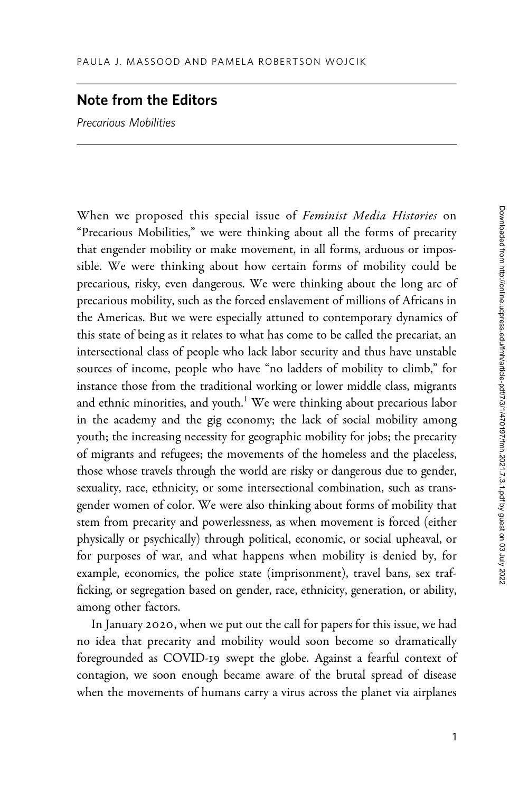## Note from the Editors

Precarious Mobilities

When we proposed this special issue of Feminist Media Histories on "Precarious Mobilities," we were thinking about all the forms of precarity that engender mobility or make movement, in all forms, arduous or impossible. We were thinking about how certain forms of mobility could be precarious, risky, even dangerous. We were thinking about the long arc of precarious mobility, such as the forced enslavement of millions of Africans in the Americas. But we were especially attuned to contemporary dynamics of this state of being as it relates to what has come to be called the precariat, an intersectional class of people who lack labor security and thus have unstable sources of income, people who have "no ladders of mobility to climb," for instance those from the traditional working or lower middle class, migrants and ethnic minorities, and youth.<sup>1</sup> We were thinking about precarious labor in the academy and the gig economy; the lack of social mobility among youth; the increasing necessity for geographic mobility for jobs; the precarity of migrants and refugees; the movements of the homeless and the placeless, those whose travels through the world are risky or dangerous due to gender, sexuality, race, ethnicity, or some intersectional combination, such as transgender women of color. We were also thinking about forms of mobility that stem from precarity and powerlessness, as when movement is forced (either physically or psychically) through political, economic, or social upheaval, or for purposes of war, and what happens when mobility is denied by, for example, economics, the police state (imprisonment), travel bans, sex trafficking, or segregation based on gender, race, ethnicity, generation, or ability, among other factors.

In January 2020, when we put out the call for papers for this issue, we had no idea that precarity and mobility would soon become so dramatically foregrounded as COVID-19 swept the globe. Against a fearful context of contagion, we soon enough became aware of the brutal spread of disease when the movements of humans carry a virus across the planet via airplanes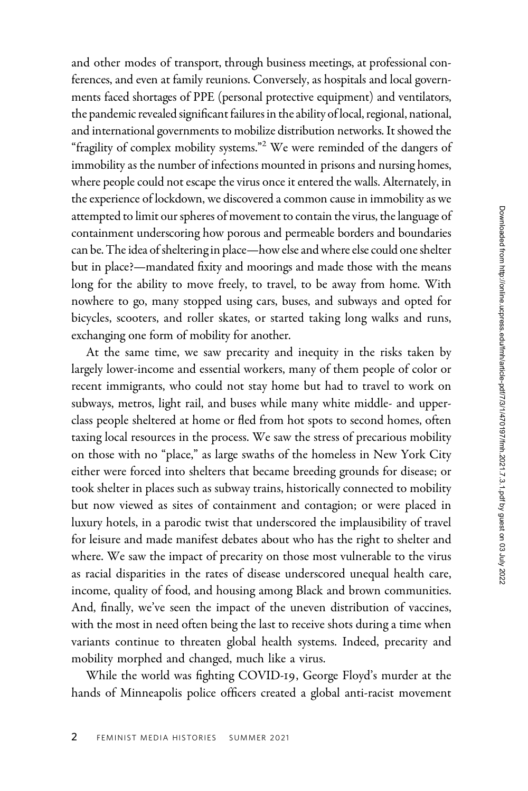and other modes of transport, through business meetings, at professional conferences, and even at family reunions. Conversely, as hospitals and local governments faced shortages of PPE (personal protective equipment) and ventilators, the pandemic revealed significant failures in the ability of local, regional, national, and international governments to mobilize distribution networks. It showed the "fragility of complex mobility systems."<sup>2</sup> We were reminded of the dangers of immobility as the number of infections mounted in prisons and nursing homes, where people could not escape the virus once it entered the walls. Alternately, in the experience of lockdown, we discovered a common cause in immobility as we attempted to limit our spheres of movement to contain the virus, the language of containment underscoring how porous and permeable borders and boundaries can be. The idea of sheltering in place—how else and where else could one shelter but in place?—mandated fixity and moorings and made those with the means long for the ability to move freely, to travel, to be away from home. With nowhere to go, many stopped using cars, buses, and subways and opted for bicycles, scooters, and roller skates, or started taking long walks and runs, exchanging one form of mobility for another.

At the same time, we saw precarity and inequity in the risks taken by largely lower-income and essential workers, many of them people of color or recent immigrants, who could not stay home but had to travel to work on subways, metros, light rail, and buses while many white middle- and upperclass people sheltered at home or fled from hot spots to second homes, often taxing local resources in the process. We saw the stress of precarious mobility on those with no "place," as large swaths of the homeless in New York City either were forced into shelters that became breeding grounds for disease; or took shelter in places such as subway trains, historically connected to mobility but now viewed as sites of containment and contagion; or were placed in luxury hotels, in a parodic twist that underscored the implausibility of travel for leisure and made manifest debates about who has the right to shelter and where. We saw the impact of precarity on those most vulnerable to the virus as racial disparities in the rates of disease underscored unequal health care, income, quality of food, and housing among Black and brown communities. And, finally, we've seen the impact of the uneven distribution of vaccines, with the most in need often being the last to receive shots during a time when variants continue to threaten global health systems. Indeed, precarity and mobility morphed and changed, much like a virus.

While the world was fighting COVID-19, George Floyd's murder at the hands of Minneapolis police officers created a global anti-racist movement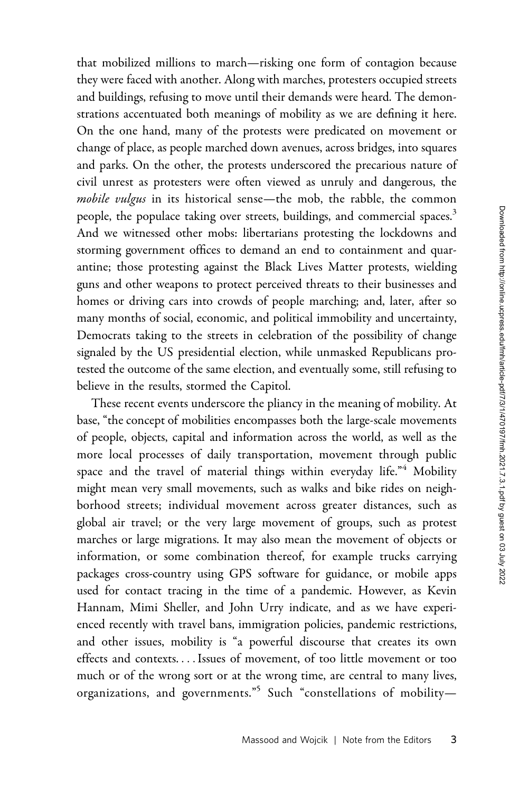that mobilized millions to march—risking one form of contagion because they were faced with another. Along with marches, protesters occupied streets and buildings, refusing to move until their demands were heard. The demonstrations accentuated both meanings of mobility as we are defining it here. On the one hand, many of the protests were predicated on movement or change of place, as people marched down avenues, across bridges, into squares and parks. On the other, the protests underscored the precarious nature of civil unrest as protesters were often viewed as unruly and dangerous, the mobile vulgus in its historical sense—the mob, the rabble, the common people, the populace taking over streets, buildings, and commercial spaces.<sup>3</sup> And we witnessed other mobs: libertarians protesting the lockdowns and storming government offices to demand an end to containment and quarantine; those protesting against the Black Lives Matter protests, wielding guns and other weapons to protect perceived threats to their businesses and homes or driving cars into crowds of people marching; and, later, after so many months of social, economic, and political immobility and uncertainty, Democrats taking to the streets in celebration of the possibility of change signaled by the US presidential election, while unmasked Republicans protested the outcome of the same election, and eventually some, still refusing to believe in the results, stormed the Capitol.

These recent events underscore the pliancy in the meaning of mobility. At base, "the concept of mobilities encompasses both the large-scale movements of people, objects, capital and information across the world, as well as the more local processes of daily transportation, movement through public space and the travel of material things within everyday life."<sup>4</sup> Mobility might mean very small movements, such as walks and bike rides on neighborhood streets; individual movement across greater distances, such as global air travel; or the very large movement of groups, such as protest marches or large migrations. It may also mean the movement of objects or information, or some combination thereof, for example trucks carrying packages cross-country using GPS software for guidance, or mobile apps used for contact tracing in the time of a pandemic. However, as Kevin Hannam, Mimi Sheller, and John Urry indicate, and as we have experienced recently with travel bans, immigration policies, pandemic restrictions, and other issues, mobility is "a powerful discourse that creates its own effects and contexts. ...Issues of movement, of too little movement or too much or of the wrong sort or at the wrong time, are central to many lives, organizations, and governments."5 Such "constellations of mobility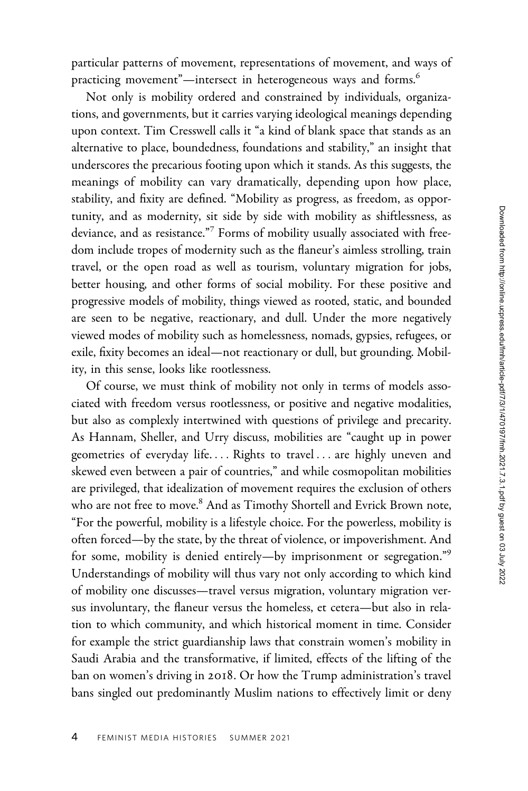particular patterns of movement, representations of movement, and ways of practicing movement"—intersect in heterogeneous ways and forms.<sup>6</sup>

Not only is mobility ordered and constrained by individuals, organizations, and governments, but it carries varying ideological meanings depending upon context. Tim Cresswell calls it "a kind of blank space that stands as an alternative to place, boundedness, foundations and stability," an insight that underscores the precarious footing upon which it stands. As this suggests, the meanings of mobility can vary dramatically, depending upon how place, stability, and fixity are defined. "Mobility as progress, as freedom, as opportunity, and as modernity, sit side by side with mobility as shiftlessness, as deviance, and as resistance."<sup>7</sup> Forms of mobility usually associated with freedom include tropes of modernity such as the flaneur's aimless strolling, train travel, or the open road as well as tourism, voluntary migration for jobs, better housing, and other forms of social mobility. For these positive and progressive models of mobility, things viewed as rooted, static, and bounded are seen to be negative, reactionary, and dull. Under the more negatively viewed modes of mobility such as homelessness, nomads, gypsies, refugees, or exile, fixity becomes an ideal—not reactionary or dull, but grounding. Mobility, in this sense, looks like rootlessness.

Of course, we must think of mobility not only in terms of models associated with freedom versus rootlessness, or positive and negative modalities, but also as complexly intertwined with questions of privilege and precarity. As Hannam, Sheller, and Urry discuss, mobilities are "caught up in power geometries of everyday life. ... Rights to travel ... are highly uneven and skewed even between a pair of countries," and while cosmopolitan mobilities are privileged, that idealization of movement requires the exclusion of others who are not free to move.<sup>8</sup> And as Timothy Shortell and Evrick Brown note, "For the powerful, mobility is a lifestyle choice. For the powerless, mobility is often forced—by the state, by the threat of violence, or impoverishment. And for some, mobility is denied entirely—by imprisonment or segregation."<sup>9</sup> Understandings of mobility will thus vary not only according to which kind of mobility one discusses—travel versus migration, voluntary migration versus involuntary, the flaneur versus the homeless, et cetera—but also in relation to which community, and which historical moment in time. Consider for example the strict guardianship laws that constrain women's mobility in Saudi Arabia and the transformative, if limited, effects of the lifting of the ban on women's driving in 2018. Or how the Trump administration's travel bans singled out predominantly Muslim nations to effectively limit or deny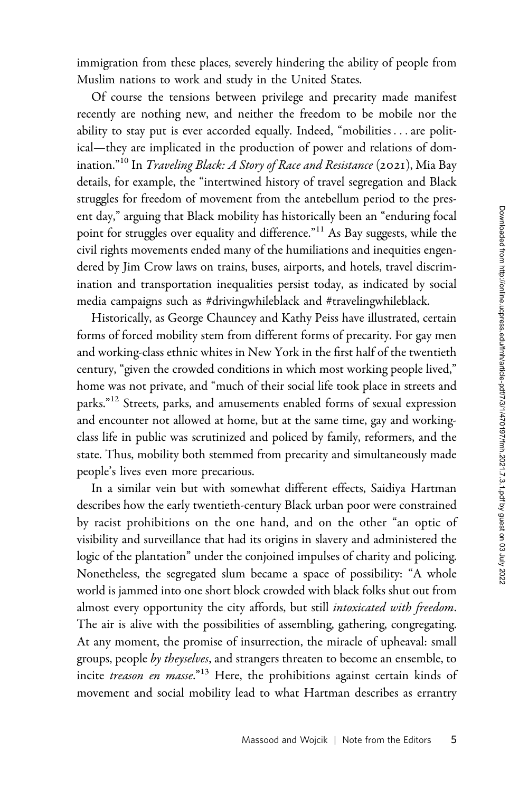immigration from these places, severely hindering the ability of people from Muslim nations to work and study in the United States.

Of course the tensions between privilege and precarity made manifest recently are nothing new, and neither the freedom to be mobile nor the ability to stay put is ever accorded equally. Indeed, "mobilities ...are political—they are implicated in the production of power and relations of domination."<sup>10</sup> In *Traveling Black: A Story of Race and Resistance* (2021), Mia Bay details, for example, the "intertwined history of travel segregation and Black struggles for freedom of movement from the antebellum period to the present day," arguing that Black mobility has historically been an "enduring focal point for struggles over equality and difference."<sup>11</sup> As Bay suggests, while the civil rights movements ended many of the humiliations and inequities engendered by Jim Crow laws on trains, buses, airports, and hotels, travel discrimination and transportation inequalities persist today, as indicated by social media campaigns such as #drivingwhileblack and #travelingwhileblack.

Historically, as George Chauncey and Kathy Peiss have illustrated, certain forms of forced mobility stem from different forms of precarity. For gay men and working-class ethnic whites in New York in the first half of the twentieth century, "given the crowded conditions in which most working people lived," home was not private, and "much of their social life took place in streets and parks."<sup>12</sup> Streets, parks, and amusements enabled forms of sexual expression and encounter not allowed at home, but at the same time, gay and workingclass life in public was scrutinized and policed by family, reformers, and the state. Thus, mobility both stemmed from precarity and simultaneously made people's lives even more precarious.

In a similar vein but with somewhat different effects, Saidiya Hartman describes how the early twentieth-century Black urban poor were constrained by racist prohibitions on the one hand, and on the other "an optic of visibility and surveillance that had its origins in slavery and administered the logic of the plantation" under the conjoined impulses of charity and policing. Nonetheless, the segregated slum became a space of possibility: "A whole world is jammed into one short block crowded with black folks shut out from almost every opportunity the city affords, but still *intoxicated with freedom*. The air is alive with the possibilities of assembling, gathering, congregating. At any moment, the promise of insurrection, the miracle of upheaval: small groups, people by theyselves, and strangers threaten to become an ensemble, to incite treason en masse."<sup>13</sup> Here, the prohibitions against certain kinds of movement and social mobility lead to what Hartman describes as errantry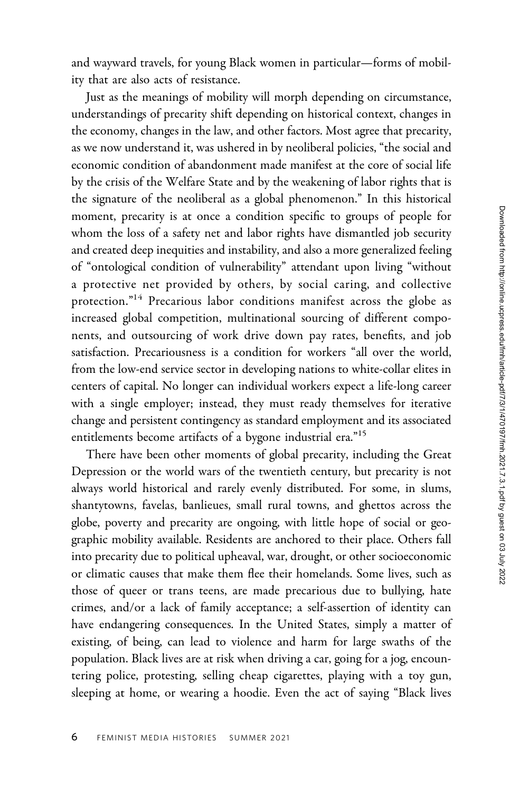and wayward travels, for young Black women in particular—forms of mobility that are also acts of resistance.

Just as the meanings of mobility will morph depending on circumstance, understandings of precarity shift depending on historical context, changes in the economy, changes in the law, and other factors. Most agree that precarity, as we now understand it, was ushered in by neoliberal policies, "the social and economic condition of abandonment made manifest at the core of social life by the crisis of the Welfare State and by the weakening of labor rights that is the signature of the neoliberal as a global phenomenon." In this historical moment, precarity is at once a condition specific to groups of people for whom the loss of a safety net and labor rights have dismantled job security and created deep inequities and instability, and also a more generalized feeling of "ontological condition of vulnerability" attendant upon living "without a protective net provided by others, by social caring, and collective protection."14 Precarious labor conditions manifest across the globe as increased global competition, multinational sourcing of different components, and outsourcing of work drive down pay rates, benefits, and job satisfaction. Precariousness is a condition for workers "all over the world, from the low-end service sector in developing nations to white-collar elites in centers of capital. No longer can individual workers expect a life-long career with a single employer; instead, they must ready themselves for iterative change and persistent contingency as standard employment and its associated entitlements become artifacts of a bygone industrial era."<sup>15</sup>

There have been other moments of global precarity, including the Great Depression or the world wars of the twentieth century, but precarity is not always world historical and rarely evenly distributed. For some, in slums, shantytowns, favelas, banlieues, small rural towns, and ghettos across the globe, poverty and precarity are ongoing, with little hope of social or geographic mobility available. Residents are anchored to their place. Others fall into precarity due to political upheaval, war, drought, or other socioeconomic or climatic causes that make them flee their homelands. Some lives, such as those of queer or trans teens, are made precarious due to bullying, hate crimes, and/or a lack of family acceptance; a self-assertion of identity can have endangering consequences. In the United States, simply a matter of existing, of being, can lead to violence and harm for large swaths of the population. Black lives are at risk when driving a car, going for a jog, encountering police, protesting, selling cheap cigarettes, playing with a toy gun, sleeping at home, or wearing a hoodie. Even the act of saying "Black lives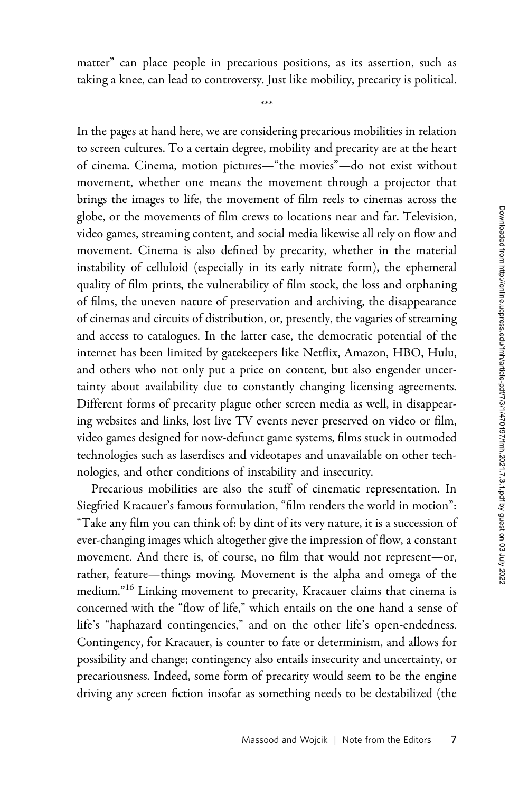matter" can place people in precarious positions, as its assertion, such as taking a knee, can lead to controversy. Just like mobility, precarity is political.

\*\*\*

In the pages at hand here, we are considering precarious mobilities in relation to screen cultures. To a certain degree, mobility and precarity are at the heart of cinema. Cinema, motion pictures—"the movies"—do not exist without movement, whether one means the movement through a projector that brings the images to life, the movement of film reels to cinemas across the globe, or the movements of film crews to locations near and far. Television, video games, streaming content, and social media likewise all rely on flow and movement. Cinema is also defined by precarity, whether in the material instability of celluloid (especially in its early nitrate form), the ephemeral quality of film prints, the vulnerability of film stock, the loss and orphaning of films, the uneven nature of preservation and archiving, the disappearance of cinemas and circuits of distribution, or, presently, the vagaries of streaming and access to catalogues. In the latter case, the democratic potential of the internet has been limited by gatekeepers like Netflix, Amazon, HBO, Hulu, and others who not only put a price on content, but also engender uncertainty about availability due to constantly changing licensing agreements. Different forms of precarity plague other screen media as well, in disappearing websites and links, lost live TV events never preserved on video or film, video games designed for now-defunct game systems, films stuck in outmoded technologies such as laserdiscs and videotapes and unavailable on other technologies, and other conditions of instability and insecurity.

Precarious mobilities are also the stuff of cinematic representation. In Siegfried Kracauer's famous formulation, "film renders the world in motion": "Take any film you can think of: by dint of its very nature, it is a succession of ever-changing images which altogether give the impression of flow, a constant movement. And there is, of course, no film that would not represent—or, rather, feature—things moving. Movement is the alpha and omega of the medium."<sup>16</sup> Linking movement to precarity, Kracauer claims that cinema is concerned with the "flow of life," which entails on the one hand a sense of life's "haphazard contingencies," and on the other life's open-endedness. Contingency, for Kracauer, is counter to fate or determinism, and allows for possibility and change; contingency also entails insecurity and uncertainty, or precariousness. Indeed, some form of precarity would seem to be the engine driving any screen fiction insofar as something needs to be destabilized (the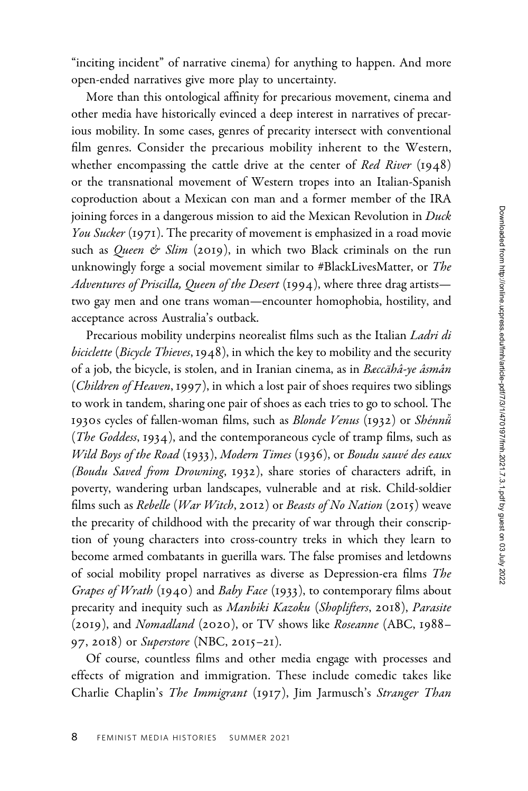"inciting incident" of narrative cinema) for anything to happen. And more open-ended narratives give more play to uncertainty.

More than this ontological affinity for precarious movement, cinema and other media have historically evinced a deep interest in narratives of precarious mobility. In some cases, genres of precarity intersect with conventional film genres. Consider the precarious mobility inherent to the Western, whether encompassing the cattle drive at the center of Red River (1948) or the transnational movement of Western tropes into an Italian-Spanish coproduction about a Mexican con man and a former member of the IRA joining forces in a dangerous mission to aid the Mexican Revolution in Duck You Sucker (1971). The precarity of movement is emphasized in a road movie such as Queen & Slim (2019), in which two Black criminals on the run unknowingly forge a social movement similar to #BlackLivesMatter, or The Adventures of Priscilla, Queen of the Desert (1994), where three drag artiststwo gay men and one trans woman—encounter homophobia, hostility, and acceptance across Australia's outback.

Precarious mobility underpins neorealist films such as the Italian Ladri di biciclette (Bicycle Thieves, 1948), in which the key to mobility and the security of a job, the bicycle, is stolen, and in Iranian cinema, as in Bæccähâ-ye âsmân (Children of Heaven, 1997), in which a lost pair of shoes requires two siblings to work in tandem, sharing one pair of shoes as each tries to go to school. The 1930s cycles of fallen-woman films, such as *Blonde Venus* (1932) or *Shénnü* (*The Goddess*, 1934), and the contemporaneous cycle of tramp films, such as Wild Boys of the Road (1933), Modern Times (1936), or Boudu sauvé des eaux (Boudu Saved from Drowning, 1932), share stories of characters adrift, in poverty, wandering urban landscapes, vulnerable and at risk. Child-soldier films such as *Rebelle* (*War Witch*, 2012) or *Beasts of No Nation* (2015) weave the precarity of childhood with the precarity of war through their conscription of young characters into cross-country treks in which they learn to become armed combatants in guerilla wars. The false promises and letdowns of social mobility propel narratives as diverse as Depression-era films The Grapes of Wrath (1940) and Baby Face (1933), to contemporary films about precarity and inequity such as Manbiki Kazoku (Shoplifters, 2018), Parasite (2019), and Nomadland (2020), or TV shows like Roseanne (ABC, 1988– 97, 2018) or Superstore (NBC, 2015–21).

Of course, countless films and other media engage with processes and effects of migration and immigration. These include comedic takes like Charlie Chaplin's The Immigrant (1917), Jim Jarmusch's Stranger Than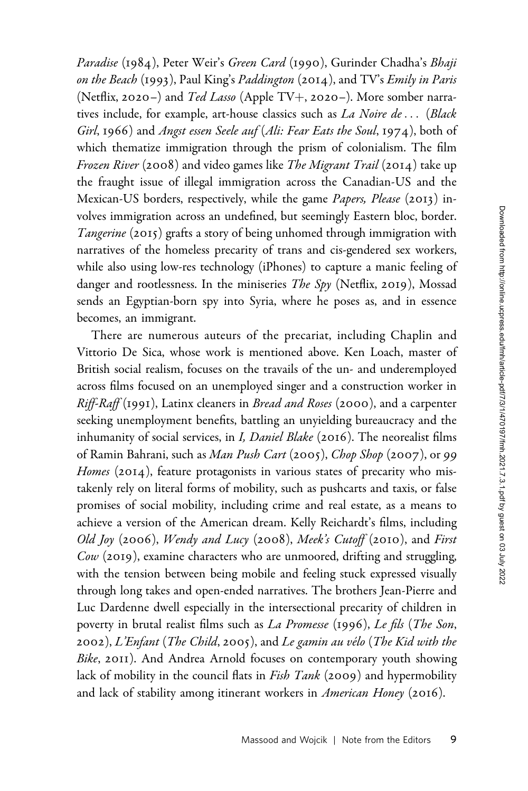Paradise (1984), Peter Weir's Green Card (1990), Gurinder Chadha's Bhaji on the Beach (1993), Paul King's Paddington (2014), and TV's Emily in Paris (Netflix, 2020–) and Ted Lasso (Apple TV+, 2020–). More somber narratives include, for example, art-house classics such as La Noire de... (Black Girl, 1966) and Angst essen Seele auf (Ali: Fear Eats the Soul, 1974), both of which thematize immigration through the prism of colonialism. The film Frozen River (2008) and video games like The Migrant Trail (2014) take up the fraught issue of illegal immigration across the Canadian-US and the Mexican-US borders, respectively, while the game Papers, Please (2013) involves immigration across an undefined, but seemingly Eastern bloc, border. Tangerine (2015) grafts a story of being unhomed through immigration with narratives of the homeless precarity of trans and cis-gendered sex workers, while also using low-res technology (iPhones) to capture a manic feeling of danger and rootlessness. In the miniseries *The Spy* (Netflix, 2019), Mossad sends an Egyptian-born spy into Syria, where he poses as, and in essence becomes, an immigrant.

There are numerous auteurs of the precariat, including Chaplin and Vittorio De Sica, whose work is mentioned above. Ken Loach, master of British social realism, focuses on the travails of the un- and underemployed across films focused on an unemployed singer and a construction worker in Riff-Raff (1991), Latinx cleaners in Bread and Roses (2000), and a carpenter seeking unemployment benefits, battling an unyielding bureaucracy and the inhumanity of social services, in I, Daniel Blake (2016). The neorealist films of Ramin Bahrani, such as Man Push Cart (2005), Chop Shop (2007), or 99 *Homes* (2014), feature protagonists in various states of precarity who mistakenly rely on literal forms of mobility, such as pushcarts and taxis, or false promises of social mobility, including crime and real estate, as a means to achieve a version of the American dream. Kelly Reichardt's films, including Old Joy (2006), Wendy and Lucy (2008), Meek's Cutoff (2010), and First  $Cow$  (2019), examine characters who are unmoored, drifting and struggling, with the tension between being mobile and feeling stuck expressed visually through long takes and open-ended narratives. The brothers Jean-Pierre and Luc Dardenne dwell especially in the intersectional precarity of children in poverty in brutal realist films such as La Promesse (1996), Le fils (The Son, 2002), L'Enfant (The Child, 2005), and Le gamin au vélo (The Kid with the Bike, 2011). And Andrea Arnold focuses on contemporary youth showing lack of mobility in the council flats in *Fish Tank* (2009) and hypermobility and lack of stability among itinerant workers in American Honey (2016).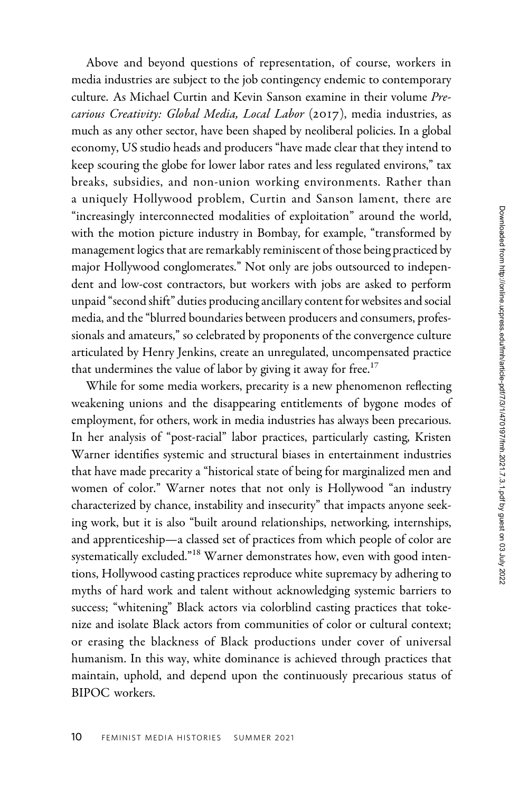Above and beyond questions of representation, of course, workers in media industries are subject to the job contingency endemic to contemporary culture. As Michael Curtin and Kevin Sanson examine in their volume Precarious Creativity: Global Media, Local Labor (2017), media industries, as much as any other sector, have been shaped by neoliberal policies. In a global economy, US studio heads and producers "have made clear that they intend to keep scouring the globe for lower labor rates and less regulated environs," tax breaks, subsidies, and non-union working environments. Rather than a uniquely Hollywood problem, Curtin and Sanson lament, there are "increasingly interconnected modalities of exploitation" around the world, with the motion picture industry in Bombay, for example, "transformed by management logics that are remarkably reminiscent of those being practiced by major Hollywood conglomerates." Not only are jobs outsourced to independent and low-cost contractors, but workers with jobs are asked to perform unpaid "second shift" duties producing ancillary content for websites and social media, and the "blurred boundaries between producers and consumers, professionals and amateurs," so celebrated by proponents of the convergence culture articulated by Henry Jenkins, create an unregulated, uncompensated practice that undermines the value of labor by giving it away for free. $17$ 

While for some media workers, precarity is a new phenomenon reflecting weakening unions and the disappearing entitlements of bygone modes of employment, for others, work in media industries has always been precarious. In her analysis of "post-racial" labor practices, particularly casting, Kristen Warner identifies systemic and structural biases in entertainment industries that have made precarity a "historical state of being for marginalized men and women of color." Warner notes that not only is Hollywood "an industry characterized by chance, instability and insecurity" that impacts anyone seeking work, but it is also "built around relationships, networking, internships, and apprenticeship—a classed set of practices from which people of color are systematically excluded."<sup>18</sup> Warner demonstrates how, even with good intentions, Hollywood casting practices reproduce white supremacy by adhering to myths of hard work and talent without acknowledging systemic barriers to success; "whitening" Black actors via colorblind casting practices that tokenize and isolate Black actors from communities of color or cultural context; or erasing the blackness of Black productions under cover of universal humanism. In this way, white dominance is achieved through practices that maintain, uphold, and depend upon the continuously precarious status of BIPOC workers.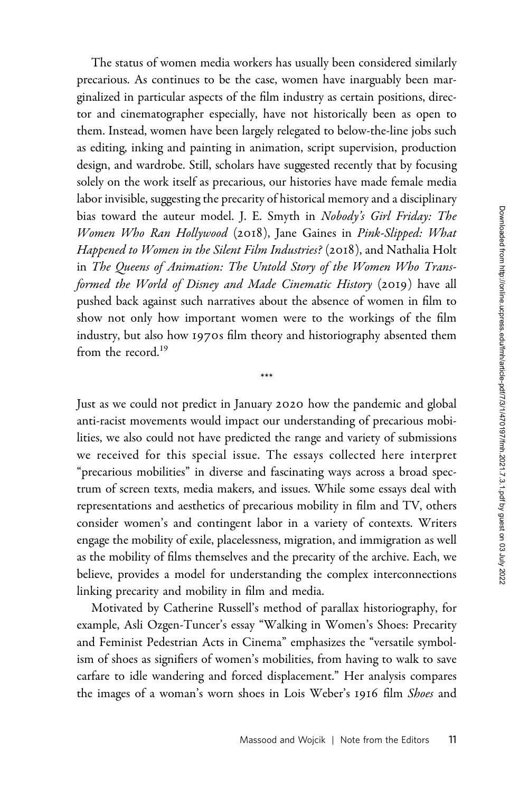The status of women media workers has usually been considered similarly precarious. As continues to be the case, women have inarguably been marginalized in particular aspects of the film industry as certain positions, director and cinematographer especially, have not historically been as open to them. Instead, women have been largely relegated to below-the-line jobs such as editing, inking and painting in animation, script supervision, production design, and wardrobe. Still, scholars have suggested recently that by focusing solely on the work itself as precarious, our histories have made female media labor invisible, suggesting the precarity of historical memory and a disciplinary bias toward the auteur model. J. E. Smyth in Nobody's Girl Friday: The Women Who Ran Hollywood (2018), Jane Gaines in Pink-Slipped: What Happened to Women in the Silent Film Industries? (2018), and Nathalia Holt in The Queens of Animation: The Untold Story of the Women Who Transformed the World of Disney and Made Cinematic History (2019) have all pushed back against such narratives about the absence of women in film to show not only how important women were to the workings of the film industry, but also how 1970s film theory and historiography absented them from the record.<sup>19</sup>

Just as we could not predict in January 2020 how the pandemic and global anti-racist movements would impact our understanding of precarious mobilities, we also could not have predicted the range and variety of submissions we received for this special issue. The essays collected here interpret "precarious mobilities" in diverse and fascinating ways across a broad spectrum of screen texts, media makers, and issues. While some essays deal with representations and aesthetics of precarious mobility in film and TV, others consider women's and contingent labor in a variety of contexts. Writers engage the mobility of exile, placelessness, migration, and immigration as well as the mobility of films themselves and the precarity of the archive. Each, we believe, provides a model for understanding the complex interconnections linking precarity and mobility in film and media.

\*\*\*

Motivated by Catherine Russell's method of parallax historiography, for example, Asli Ozgen-Tuncer's essay "Walking in Women's Shoes: Precarity and Feminist Pedestrian Acts in Cinema" emphasizes the "versatile symbolism of shoes as signifiers of women's mobilities, from having to walk to save carfare to idle wandering and forced displacement." Her analysis compares the images of a woman's worn shoes in Lois Weber's 1916 film Shoes and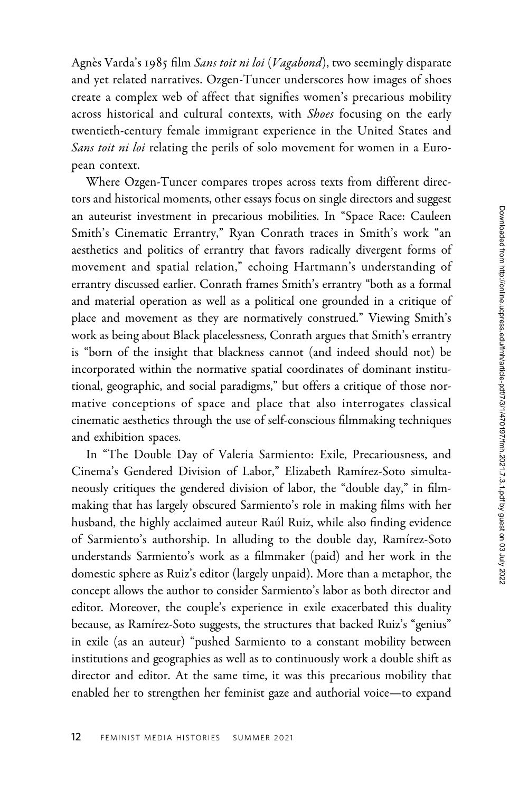Agnès Varda's 1985 film Sans toit ni loi (Vagabond), two seemingly disparate and yet related narratives. Ozgen-Tuncer underscores how images of shoes create a complex web of affect that signifies women's precarious mobility across historical and cultural contexts, with Shoes focusing on the early twentieth-century female immigrant experience in the United States and Sans toit ni loi relating the perils of solo movement for women in a European context.

Where Ozgen-Tuncer compares tropes across texts from different directors and historical moments, other essays focus on single directors and suggest an auteurist investment in precarious mobilities. In "Space Race: Cauleen Smith's Cinematic Errantry," Ryan Conrath traces in Smith's work "an aesthetics and politics of errantry that favors radically divergent forms of movement and spatial relation," echoing Hartmann's understanding of errantry discussed earlier. Conrath frames Smith's errantry "both as a formal and material operation as well as a political one grounded in a critique of place and movement as they are normatively construed." Viewing Smith's work as being about Black placelessness, Conrath argues that Smith's errantry is "born of the insight that blackness cannot (and indeed should not) be incorporated within the normative spatial coordinates of dominant institutional, geographic, and social paradigms," but offers a critique of those normative conceptions of space and place that also interrogates classical cinematic aesthetics through the use of self-conscious filmmaking techniques and exhibition spaces.

In "The Double Day of Valeria Sarmiento: Exile, Precariousness, and Cinema's Gendered Division of Labor," Elizabeth Ramírez-Soto simultaneously critiques the gendered division of labor, the "double day," in filmmaking that has largely obscured Sarmiento's role in making films with her husband, the highly acclaimed auteur Raul Ruiz, while also finding evidence of Sarmiento's authorship. In alluding to the double day, Ramírez-Soto understands Sarmiento's work as a filmmaker (paid) and her work in the domestic sphere as Ruiz's editor (largely unpaid). More than a metaphor, the concept allows the author to consider Sarmiento's labor as both director and editor. Moreover, the couple's experience in exile exacerbated this duality because, as Ramírez-Soto suggests, the structures that backed Ruiz's "genius" in exile (as an auteur) "pushed Sarmiento to a constant mobility between institutions and geographies as well as to continuously work a double shift as director and editor. At the same time, it was this precarious mobility that enabled her to strengthen her feminist gaze and authorial voice—to expand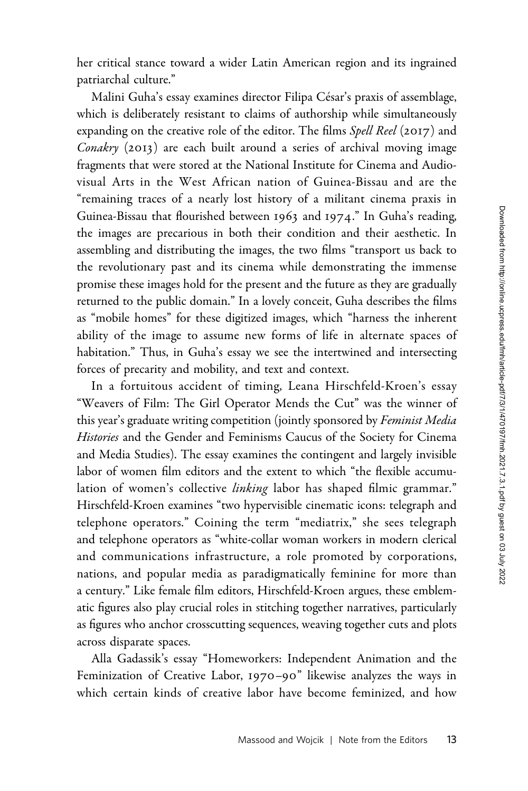her critical stance toward a wider Latin American region and its ingrained patriarchal culture."

Malini Guha's essay examines director Filipa César's praxis of assemblage, which is deliberately resistant to claims of authorship while simultaneously expanding on the creative role of the editor. The films Spell Reel (2017) and Conakry (2013) are each built around a series of archival moving image fragments that were stored at the National Institute for Cinema and Audiovisual Arts in the West African nation of Guinea-Bissau and are the "remaining traces of a nearly lost history of a militant cinema praxis in Guinea-Bissau that flourished between 1963 and 1974." In Guha's reading, the images are precarious in both their condition and their aesthetic. In assembling and distributing the images, the two films "transport us back to the revolutionary past and its cinema while demonstrating the immense promise these images hold for the present and the future as they are gradually returned to the public domain." In a lovely conceit, Guha describes the films as "mobile homes" for these digitized images, which "harness the inherent ability of the image to assume new forms of life in alternate spaces of habitation." Thus, in Guha's essay we see the intertwined and intersecting forces of precarity and mobility, and text and context.

In a fortuitous accident of timing, Leana Hirschfeld-Kroen's essay "Weavers of Film: The Girl Operator Mends the Cut" was the winner of this year's graduate writing competition (jointly sponsored by Feminist Media Histories and the Gender and Feminisms Caucus of the Society for Cinema and Media Studies). The essay examines the contingent and largely invisible labor of women film editors and the extent to which "the flexible accumulation of women's collective *linking* labor has shaped filmic grammar." Hirschfeld-Kroen examines "two hypervisible cinematic icons: telegraph and telephone operators." Coining the term "mediatrix," she sees telegraph and telephone operators as "white-collar woman workers in modern clerical and communications infrastructure, a role promoted by corporations, nations, and popular media as paradigmatically feminine for more than a century." Like female film editors, Hirschfeld-Kroen argues, these emblematic figures also play crucial roles in stitching together narratives, particularly as figures who anchor crosscutting sequences, weaving together cuts and plots across disparate spaces.

Alla Gadassik's essay "Homeworkers: Independent Animation and the Feminization of Creative Labor, 1970–90" likewise analyzes the ways in which certain kinds of creative labor have become feminized, and how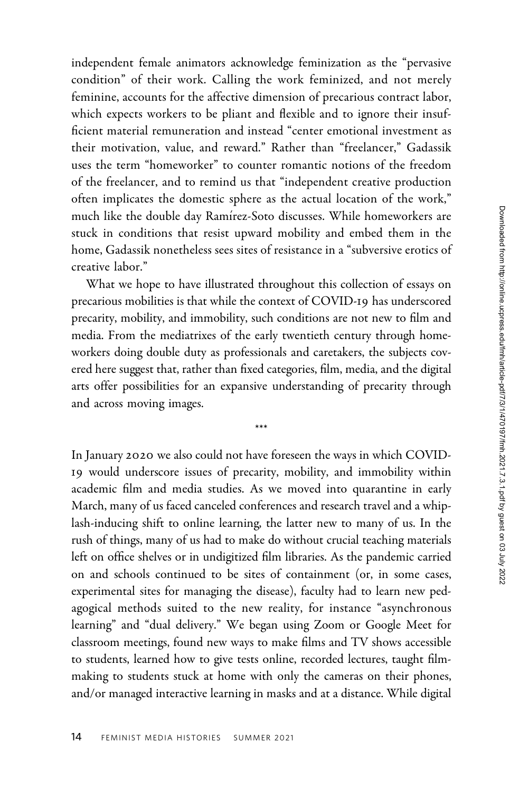independent female animators acknowledge feminization as the "pervasive condition" of their work. Calling the work feminized, and not merely feminine, accounts for the affective dimension of precarious contract labor, which expects workers to be pliant and flexible and to ignore their insufficient material remuneration and instead "center emotional investment as their motivation, value, and reward." Rather than "freelancer," Gadassik uses the term "homeworker" to counter romantic notions of the freedom of the freelancer, and to remind us that "independent creative production often implicates the domestic sphere as the actual location of the work," much like the double day Ramírez-Soto discusses. While homeworkers are stuck in conditions that resist upward mobility and embed them in the home, Gadassik nonetheless sees sites of resistance in a "subversive erotics of creative labor."

What we hope to have illustrated throughout this collection of essays on precarious mobilities is that while the context of COVID-19 has underscored precarity, mobility, and immobility, such conditions are not new to film and media. From the mediatrixes of the early twentieth century through homeworkers doing double duty as professionals and caretakers, the subjects covered here suggest that, rather than fixed categories, film, media, and the digital arts offer possibilities for an expansive understanding of precarity through and across moving images.

\*\*\*

In January 2020 we also could not have foreseen the ways in which COVID-19 would underscore issues of precarity, mobility, and immobility within academic film and media studies. As we moved into quarantine in early March, many of us faced canceled conferences and research travel and a whiplash-inducing shift to online learning, the latter new to many of us. In the rush of things, many of us had to make do without crucial teaching materials left on office shelves or in undigitized film libraries. As the pandemic carried on and schools continued to be sites of containment (or, in some cases, experimental sites for managing the disease), faculty had to learn new pedagogical methods suited to the new reality, for instance "asynchronous learning" and "dual delivery." We began using Zoom or Google Meet for classroom meetings, found new ways to make films and TV shows accessible to students, learned how to give tests online, recorded lectures, taught filmmaking to students stuck at home with only the cameras on their phones, and/or managed interactive learning in masks and at a distance. While digital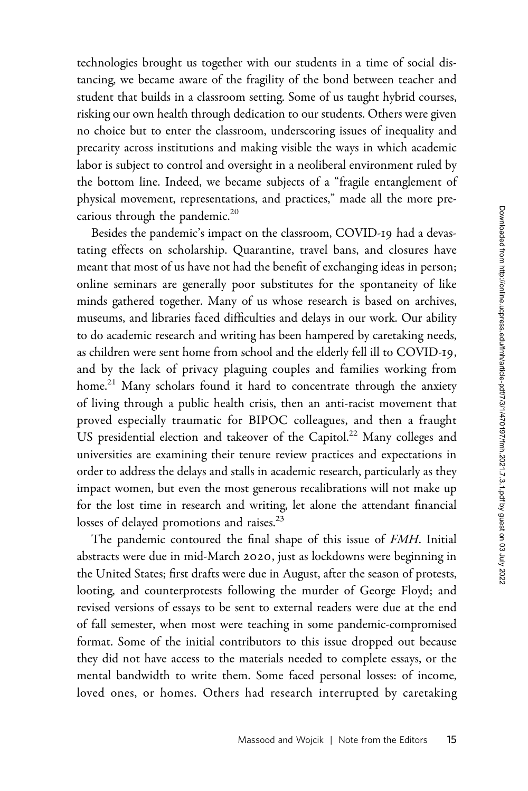technologies brought us together with our students in a time of social distancing, we became aware of the fragility of the bond between teacher and student that builds in a classroom setting. Some of us taught hybrid courses, risking our own health through dedication to our students. Others were given no choice but to enter the classroom, underscoring issues of inequality and precarity across institutions and making visible the ways in which academic labor is subject to control and oversight in a neoliberal environment ruled by the bottom line. Indeed, we became subjects of a "fragile entanglement of physical movement, representations, and practices," made all the more precarious through the pandemic.<sup>20</sup>

Besides the pandemic's impact on the classroom, COVID-19 had a devastating effects on scholarship. Quarantine, travel bans, and closures have meant that most of us have not had the benefit of exchanging ideas in person; online seminars are generally poor substitutes for the spontaneity of like minds gathered together. Many of us whose research is based on archives, museums, and libraries faced difficulties and delays in our work. Our ability to do academic research and writing has been hampered by caretaking needs, as children were sent home from school and the elderly fell ill to COVID-19, and by the lack of privacy plaguing couples and families working from home.<sup>21</sup> Many scholars found it hard to concentrate through the anxiety of living through a public health crisis, then an anti-racist movement that proved especially traumatic for BIPOC colleagues, and then a fraught US presidential election and takeover of the Capitol.<sup>22</sup> Many colleges and universities are examining their tenure review practices and expectations in order to address the delays and stalls in academic research, particularly as they impact women, but even the most generous recalibrations will not make up for the lost time in research and writing, let alone the attendant financial losses of delayed promotions and raises.<sup>23</sup>

The pandemic contoured the final shape of this issue of FMH. Initial abstracts were due in mid-March 2020, just as lockdowns were beginning in the United States; first drafts were due in August, after the season of protests, looting, and counterprotests following the murder of George Floyd; and revised versions of essays to be sent to external readers were due at the end of fall semester, when most were teaching in some pandemic-compromised format. Some of the initial contributors to this issue dropped out because they did not have access to the materials needed to complete essays, or the mental bandwidth to write them. Some faced personal losses: of income, loved ones, or homes. Others had research interrupted by caretaking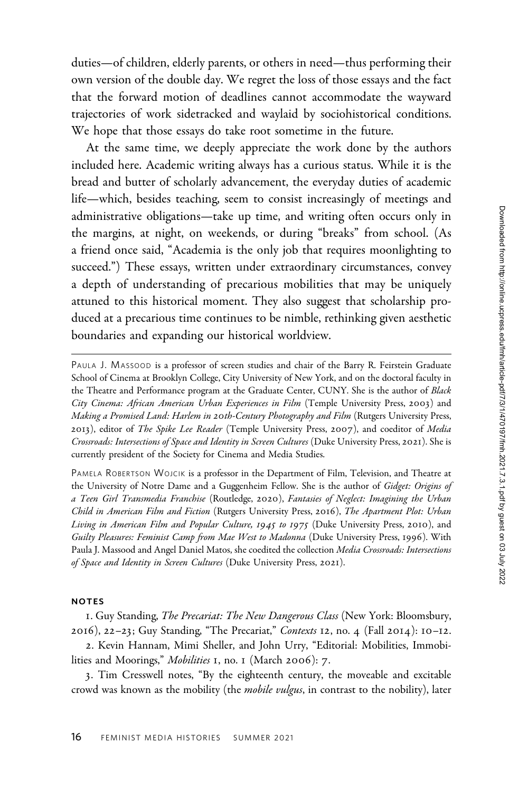duties—of children, elderly parents, or others in need—thus performing their own version of the double day. We regret the loss of those essays and the fact that the forward motion of deadlines cannot accommodate the wayward trajectories of work sidetracked and waylaid by sociohistorical conditions. We hope that those essays do take root sometime in the future.

At the same time, we deeply appreciate the work done by the authors included here. Academic writing always has a curious status. While it is the bread and butter of scholarly advancement, the everyday duties of academic life—which, besides teaching, seem to consist increasingly of meetings and administrative obligations—take up time, and writing often occurs only in the margins, at night, on weekends, or during "breaks" from school. (As a friend once said, "Academia is the only job that requires moonlighting to succeed.") These essays, written under extraordinary circumstances, convey a depth of understanding of precarious mobilities that may be uniquely attuned to this historical moment. They also suggest that scholarship produced at a precarious time continues to be nimble, rethinking given aesthetic boundaries and expanding our historical worldview.

PAULA J. MASSOOD is a professor of screen studies and chair of the Barry R. Feirstein Graduate School of Cinema at Brooklyn College, City University of New York, and on the doctoral faculty in the Theatre and Performance program at the Graduate Center, CUNY. She is the author of Black City Cinema: African American Urban Experiences in Film (Temple University Press, 2003) and Making a Promised Land: Harlem in 20th-Century Photography and Film (Rutgers University Press, 2013), editor of *The Spike Lee Reader* (Temple University Press, 2007), and coeditor of *Media* Crossroads: Intersections of Space and Identity in Screen Cultures (Duke University Press, 2021). She is currently president of the Society for Cinema and Media Studies.

PAMELA ROBERTSON WOJCIK is a professor in the Department of Film, Television, and Theatre at the University of Notre Dame and a Guggenheim Fellow. She is the author of Gidget: Origins of a Teen Girl Transmedia Franchise (Routledge, 2020), Fantasies of Neglect: Imagining the Urban Child in American Film and Fiction (Rutgers University Press, 2016), The Apartment Plot: Urban Living in American Film and Popular Culture, 1945 to 1975 (Duke University Press, 2010), and Guilty Pleasures: Feminist Camp from Mae West to Madonna (Duke University Press, 1996). With Paula J. Massood and Angel Daniel Matos, she coedited the collection Media Crossroads: Intersections of Space and Identity in Screen Cultures (Duke University Press, 2021).

## NOTES

1. Guy Standing, The Precariat: The New Dangerous Class (New York: Bloomsbury, 2016), 22-23; Guy Standing, "The Precariat," Contexts 12, no. 4 (Fall 2014): 10-12.

2. Kevin Hannam, Mimi Sheller, and John Urry, "Editorial: Mobilities, Immobilities and Moorings," Mobilities 1, no. 1 (March 2006): 7.

3. Tim Cresswell notes, "By the eighteenth century, the moveable and excitable crowd was known as the mobility (the *mobile vulgus*, in contrast to the nobility), later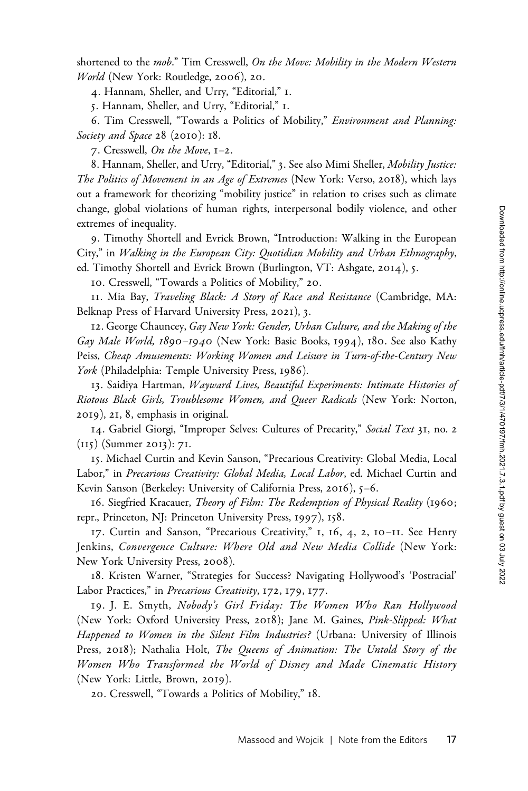shortened to the mob." Tim Cresswell, On the Move: Mobility in the Modern Western World (New York: Routledge, 2006), 20.

4. Hannam, Sheller, and Urry, "Editorial," 1.

5. Hannam, Sheller, and Urry, "Editorial," 1.

6. Tim Cresswell, "Towards a Politics of Mobility," Environment and Planning: Society and Space 28 (2010): 18.

7. Cresswell, On the Move, 1–2.

8. Hannam, Sheller, and Urry, "Editorial," 3. See also Mimi Sheller, Mobility Justice: The Politics of Movement in an Age of Extremes (New York: Verso, 2018), which lays out a framework for theorizing "mobility justice" in relation to crises such as climate change, global violations of human rights, interpersonal bodily violence, and other extremes of inequality.

9. Timothy Shortell and Evrick Brown, "Introduction: Walking in the European City," in Walking in the European City: Quotidian Mobility and Urban Ethnography, ed. Timothy Shortell and Evrick Brown (Burlington, VT: Ashgate, 2014), 5.

10. Cresswell, "Towards a Politics of Mobility," 20.

11. Mia Bay, Traveling Black: A Story of Race and Resistance (Cambridge, MA: Belknap Press of Harvard University Press, 2021), 3.

12. George Chauncey, Gay New York: Gender, Urban Culture, and the Making of the Gay Male World, 1890-1940 (New York: Basic Books, 1994), 180. See also Kathy Peiss, Cheap Amusements: Working Women and Leisure in Turn-of-the-Century New York (Philadelphia: Temple University Press, 1986).

13. Saidiya Hartman, Wayward Lives, Beautiful Experiments: Intimate Histories of Riotous Black Girls, Troublesome Women, and Queer Radicals (New York: Norton, 2019), 21, 8, emphasis in original.

14. Gabriel Giorgi, "Improper Selves: Cultures of Precarity," Social Text 31, no. 2 (115) (Summer 2013): 71.

15. Michael Curtin and Kevin Sanson, "Precarious Creativity: Global Media, Local Labor," in Precarious Creativity: Global Media, Local Labor, ed. Michael Curtin and Kevin Sanson (Berkeley: University of California Press, 2016), 5–6.

16. Siegfried Kracauer, Theory of Film: The Redemption of Physical Reality (1960; repr., Princeton, NJ: Princeton University Press, 1997), 158.

17. Curtin and Sanson, "Precarious Creativity," 1, 16, 4, 2, 10–11. See Henry Jenkins, Convergence Culture: Where Old and New Media Collide (New York: New York University Press, 2008).

18. Kristen Warner, "Strategies for Success? Navigating Hollywood's 'Postracial' Labor Practices," in Precarious Creativity, 172, 179, 177.

19. J. E. Smyth, Nobody's Girl Friday: The Women Who Ran Hollywood (New York: Oxford University Press, 2018); Jane M. Gaines, Pink-Slipped: What Happened to Women in the Silent Film Industries? (Urbana: University of Illinois Press, 2018); Nathalia Holt, The Queens of Animation: The Untold Story of the Women Who Transformed the World of Disney and Made Cinematic History (New York: Little, Brown, 2019).

20. Cresswell, "Towards a Politics of Mobility," 18.